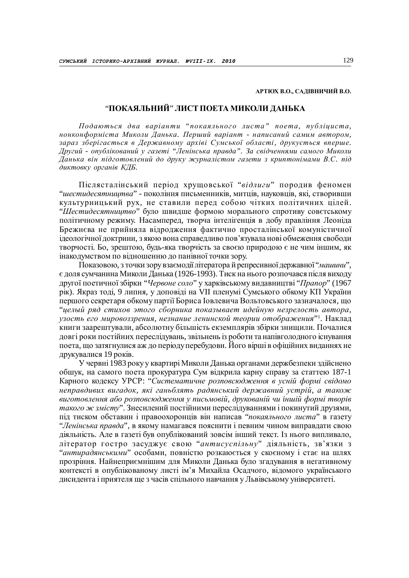#### $\Lambda$ РТЮХ В.О., САДІВНИЧИЙ В.О.

## "ПОКАЯЛЬНИЙ" ЛИСТ ПОЕТА МИКОЛИ ДАНЬКА

 $\overline{H}$ одаються два варіанти "покаяльного листа" поета, публіциста,  $h$ өнконформіста Миколи Данька. Перший варіант - написаний самим автором, зараз зберігається в Державному архіві Сумської області, друкується вперше.  $\overline{A}$ ругий - опублікований у газеті "Ленінська правда". За свідченнями самого Миколи Данька він підготовлений до друку журналістом газети з криптонімами В.С. під диктовку органів КДБ.

Післясталінський період хрущовської "відлиги" породив феномен "шестидесятництва" - покоління письменників, митців, науковців, які, створивши культурницький рух, не ставили перед собою чітких політичних цілей. "Шестидесятництво" було швидше формою морального спротиву советському політичному режиму. Насамперед, творча інтелігенція в добу правління Леоніда Брежнєва не прийняла відродження фактично просталінської комуністичної ілеологічної локтрини, з якою вона справелливо пов'язувала нові обмеження своболи творчості. Бо, зрештою, будь-яка творчість за своєю природою є не чим іншим, як інакодумством по відношенню до панівної точки зору.

Показовою, з точки зору взаємодії літератора й репресивної державної "машини",  $\epsilon$  доля сумчанина Миколи Данька (1926-1993). Тиск на нього розпочався після виходу другої поетичної збірки "Червоне соло" у харківському видавництві "Прапор" (1967 рік). Якраз тоді, 9 липня, у доповіді на VII пленумі Сумського обкому КП України першого секретаря обкому партії Бориса Іовлевича Вольтовського зазначалося, що "целый ряд стихов этого сборника показывает идейную незрелость автора, узость его мировоззрения, незнание ленинской теории отображения"<sup>1</sup>. Наклад книги заарештували, абсолютну більшість екземплярів збірки знишили. Почалися довгі роки постійних переслідувань, звільнень із роботи та напівголодного існування поета, що затягнулися аж до періоду перебудови. Його вірші в офіційних виданнях не друкувалися 19 років.

У червні 1983 року у квартирі Миколи Данька органами держбезпеки здійснено обшук, на самого поета прокуратура Сум відкрила карну справу за статтею 187-1 Карного кодексу УРСР: "Систематичне розповсюдження в усній формі свідомо  $h$ еправдивих вигадок, які ганьблять радянський державний устрій, а також виготовлення або розповсюдження у письмовій, друкованій чи іншій формі творів такого ж змісту". Знесилений постійними переслідуваннями і покинутий друзями, під тиском обставин і правоохоронців він написав "покаяльного листа" в газету "Ленінська правда", в якому намагався пояснити і певним чином виправдати свою діяльність. Але в газеті був опублікований зовсім інший текст. Із нього випливало, літератор гостро засуджує свою "антисуспільну" діяльність, зв'язки з "*антирадянськими*" особами, повністю розкаюється у скоєному і стає на шлях прозріння. Найнеприємнішим для Миколи Данька було згадування в негативному контексті в опублікованому листі ім'я Михайла Осадчого, відомого українського дисидента і приятеля ще з часів спільного навчання у Львівському університеті.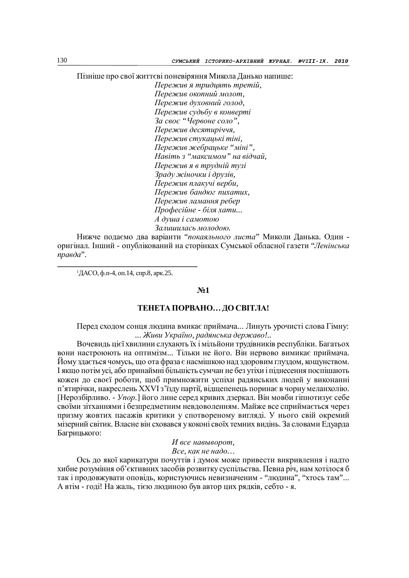Пізніше про свої життєві поневіряння Микола Данько напише:

 $\Pi$ ережив я тридцять третій, Пережив окопний молот, Пережив духовний голод, Пережив судьбу в конверті  $\overline{3a}$  своє "Червоне соло", *ɉɟɪɟɠɢɜɞɟɫɹɬɢɪɿɱɱɹ,* Пережив стукацькі тіні,  $\Pi$ ережив жебрацьке "міні",  $Hae$ *imь* з "максимом" на відчай. Пережив я в трудній тузі Зраду жіночки і друзів, Пережив плакучі верби,  $\overline{I}$ *Hepeжив бандюг пихатих.* Пережив ламання ребер *Професійне - біля хати...*  $A$  душа і самотою  $3$ алишилась молодою.

Нижче подаємо два варіанти "покаяльного листа" Миколи Данька. Один оригінал. Інший - опублікований на сторінках Сумської обласної газети "Ленінська *правда*".

**\_\_\_\_\_\_\_\_\_\_\_\_\_\_\_\_\_\_\_\_\_\_\_\_\_\_\_\_\_\_\_\_\_\_** 1ДАСО, ф.п-4, оп.14, спр.8, арк.25.

#### *<u><b>N*</u></u>**1**

### **ɌȿɇȿɌȺɉɈɊȼȺɇɈ… ȾɈɋȼȱɌɅȺ!**

Перед сходом сонця людина вмикає приймача... Линуть урочисті слова Гімну: *... ɀɢɜɢɍɤɪɚʀɧɨ, ɪɚɞɹɧɫɶɤɚɞɟɪɠɚɜɨ!..*

Вочевидь цієї хвилини слухають їх і мільйони трудівників республіки. Багатьох вони настроюють на оптимізм... Тільки не його. Він нервово вимикає приймача. Йому здається чомусь, що ота фраза є насмішкою над здоровим глуздом, кощунством. I якщо потім усі, або принаймні більшість сумчан не без утіхи і піднесення поспішають кожен до своєї роботи, щоб примножити успіхи радянських людей у виконанні п'ятирічки, накреслень XXVI з'їзду партії, відщепенець поринає в чорну меланхолію. [Нерозбірливо. - *Упор*.] його лине серед кривих дзеркал. Він мовби гіпнотизує себе своїми зітханнями і безпредметним невдоволенням. Майже все сприймається через призму жовтих пасажів критики у спотвореному вигляді. У нього свій окремий мізерний світик. Власне він сховався у коконі своїх темних видінь. За словами Едуарда Багрицького:

> *все навыворот, Bce, как не надо...*

Ось до якої карикатури почуттів і думок може привести викривлення і надто хибне розуміння об'єктивних засобів розвитку суспільства. Певна річ, нам хотілося б так і продовжувати оповідь, користуючись невизначеним - "людина", "хтось там"... А втім - годі! На жаль, тією людиною був автор цих рядків, себто - я.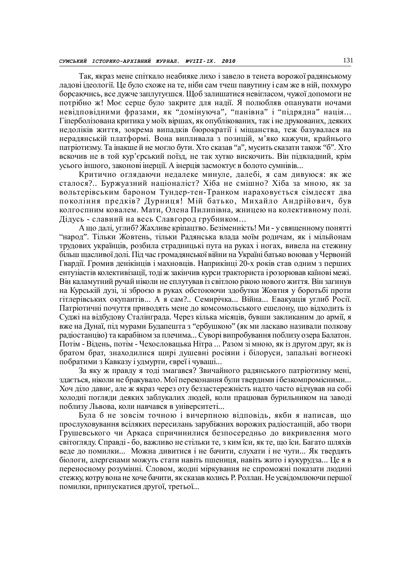Так, якраз мене спіткало неабияке лихо і завело в тенета ворожої радянському ладові ідеології. Це було схоже на те, ніби сам тчеш павутину і сам же в ній, похмуро борсаючись, все дужче заплугуєшся. Щоб залишатися невігласом, чужої допомоги не потрібно ж! Моє серце було закрите для надії. Я полюбляв опанувати ночами невідповідними фразами, як "домінуюча", "панівна" і "підрядна" нація... Гіперболізована критика у моїх віршах, як опублікованих, так і не друкованих, деяких недоліків життя, зокрема випадків бюрократії і міщанства, теж базувалася на нерадянській платформі. Вона випливала з позицій, м'яко кажучи, крайнього патріотизму. Та інакшей не могло бути. Хто сказав "а", мусить сказати також "б". Хто вскочив не в той кур'єрський поїзд, не так хутко вискочить. Він підвладний, крім усього іншого, законові інерції. А інерція засмоктує в болото сумнівів...

Критично оглядаючи недалеке минуле, далебі, я сам дивуюся: як же сталося?.. Буржуазний націоналіст? Хіба не смішно? Хіба за мною, як за вольтерівським бароном Тундер-тен-Транком нараховується сімдесят два покоління предків? Дурниця! Мій батько, Михайло Андрійович, був колгоспним ковалем. Мати, Олена Пилипівна, жницею на колективному полі. Дідусь - славний на весь Славгород грубником...

Ащо далі, углиб? Жахливе кріпацтво. Безіменність! Ми - у священному понятті "народ". Тільки Жовтень, тільки Радянська влада моїм родичам, як і мільйонам трудових українців, розбила страдницькі пута на руках і ногах, вивела на стежину більш щасливої долі. Під час громадянської війни на Україні батько воював у Червоній Гвардії. Громив денікінців і махновців. Наприкінці 20-х років став одним з перших ентузіастів колективізації, тоді ж закінчив курси тракториста і розорював каїнові межі. Він каламутний ручай ніколи не сплутував із світлою рікою нового життя. Він загинув на Курській дузі, зі зброєю в руках обстоюючи здобутки Жовтня у боротьбі проти гітлерівських окупантів... А я сам?.. Семирічка... Війна... Евакуація углиб Росії. Патріотичні почуття приводять мене до комсомольського ешелону, що відходить із Суджі на відбудову Сталінграда. Через кілька місяців, бувши закликаним до армії, я вже на Дунаї, під мурами Будапешта з "ербушкою" (як ми ласкаво називали полкову радіостанцію) та карабіном за плечима... Суворі випробування поблизу озера Балатон. Потім - Відень, потім - Чехословацька Нітра ... Разом зі мною, як із другом друг, як із братом брат, знаходилися щирі душевні росіяни і білоруси, запальні вогнеокі побратими з Кавказу і удмурти, євреї і чуваші...

За яку ж правду я тоді змагався? Звичайного радянського патріотизму мені, здається, ніколи не бракувало. Мої переконання були твердими і безкомпромісними... Хоч діло давнє, але ж якраз через оту беззастережність надто часто відчував на собі холодні погляди деяких заблукалих людей, коли працював бурильником на заводі поблизу Львова, коли навчався в університеті...

Була б не зовсім точною і вичерпною відповідь, якби я написав, що прослуховування всіляких пересилань зарубіжних ворожих радіостанцій, або твори Грушевського чи Аркаса спричинилися безпосередньо до викривлення мого світогляду. Справді - бо, важливо не стільки те, з ким їси, як те, що їси. Багато шляхів веде до помилки... Можна дивитися і не бачити, слухати і не чути... Як твердять біологи, алергенами можуть стати навіть пшениця, навіть жито і кукурудза... Це я в переносному розумінні. Словом, жодні міркування не спроможні показати людині стежку, котру вона не хоче бачити, як сказав колись Р. Роллан. Не усвідомлюючи першої помилки, припускатися другої, третьої...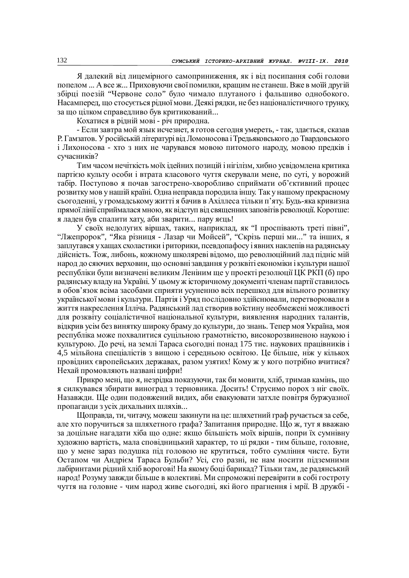Я далекий від лицемірного самоприниження, як і від посипання собі голови попелом ... А все ж... Приховуючи свої помилки, кращим не станеш. Вже в моїй другій збірці поезій "Червоне соло" було чимало плутаного і фальшиво однобокого. Насамперед, що стосується рідної мови. Деякі рядки, не без націоналістичного трунку, за що цілком справедливо був критикований...

Кохатися в рідній мові - річ природна.

- Если завтра мой язык исчезнет, я готов сегодня умереть, - так, здається, сказав Р. Гамзатов. У російській літературі від Ломоносова і Тредьяковського до Твардовського і Лихоносова - хто з них не чарувався мовою питомого народу, мовою предків і сучасників?

Тим часом нечіткість моїх ідейних позицій і нігілізм, хибно усвідомлена критика партією культу особи і втрата класового чуття скерували мене, по суті, у ворожий табір. Поступово я почав загострено-хворобливо сприймати об'єктивний процес розвитку мов у нашій країні. Олна неправла поролила іншу. Так у нашому прекрасному сьогоденні, у громадському житті я бачив в Ахіллеса тільки п'яту. Будь-яка кривизна прямої лінії сприймалася мною, як відступ від священних заповітів революції. Коротше: я ладен був спалити хату, аби зварити... пару яєць!

У своїх недолугих віршах, таких, наприклад, як "І проспівають треті півні", "Лжепророк", "Яка різниця - Лазар чи Мойсей", "Скрізь перші ми..." та інших, я заплугався у хащах схоластики і риторики, псевдопафосу і явних наклепів на радянську дійсність. Тож, либонь, кожному школяреві відомо, що революційний лад підніс мій народ до сяючих верховин, що основні завдання у розквіті економіки і культури нашої республіки були визначені великим Леніним ще у проекті резолюції ЦК РКП (б) про радянську владу на Україні. У цьому ж історичному документі членам партії ставилось в обов'язок всіма засобами сприяти усуненню всіх перешкод для вільного розвитку української мови і культури. Партія і Уряд послідовно здійснювали, перетворювали в життя накреслення Ілліча. Радянський лад створив воїстину необмежені можливості для розквіту соціалістичної національної культури, виявлення народних талантів, відкрив усім без винятку широку браму до культури, до знань. Тепер моя Україна, моя республіка може похвалитися суцільною грамотністю, високорозвиненою наукою і культурою. До речі, на землі Тараса сьогодні понад 175 тис. наукових працівників і 4,5 мільйона спеціалістів з вищою і середньою освітою. Це більше, ніж у кількох провідних європейських державах, разом узятих! Кому ж у кого потрібно вчитися? Нехай промовляють названі цифри!

Прикро мені, що я, незрідка показуючи, так би мовити, хліб, тримав камінь, що я силкувався збирати виноград з терновника. Досить! Струсимо порох з ніг своїх. Назавжди. Ще один подовжений видих, аби евакуювати затхле повітря буржуазної пропаганди з усіх дихальних шляхів...

Шоправда, ти, читачу, можеш закинути на це: шляхетний граф ручається за себе, але хто поручиться за шляхетного графа? Запитання природне. Що ж, тут я вважаю за доцільне нагадати хіба що одне: якщо більшість моїх віршів, попри їх сумнівну художню вартість, мала сповідницький характер, то ці рядки - тим більше, головне, що у мене зараз подушка під головою не кругиться, тобто сумління чисте. Бути Остапом чи Андрієм Тараса Бульби? Усі, сто разні, не нам носити підземними лабіринтами рідний хліб ворогові! На якому боці барикад? Тільки там, де радянський народ! Розуму завжди більше в колективі. Ми спроможні перевірити в собі гостроту чуття на головне - чим народ живе сьогодні, які його прагнення і мрії. В дружбі -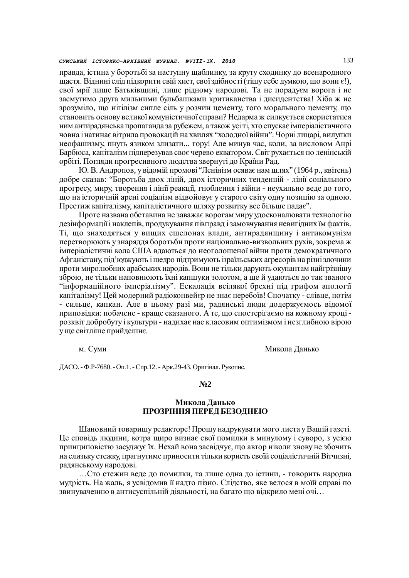правда, істина у боротьбі за наступну щаблинку, за круту сходинку до всенародного щастя. Віднині слід підкорити свій хист, свої здібності (тішу себе думкою, що вони є!), свої мрії лише Батьківщині, лише рідному народові. Та не порадуєм ворога і не засмутимо друга мильними бульбашками критиканства і дисидентства! Хіба ж не зрозуміло, що нігілізм сипле сіль у розчин цементу, того морального цементу, що становить основу великої комуністичної справи? Недарма ж силкується скористатися ним антирадянська пропаганда за рубежем, а також усі ті, хто спускає імперіалістичного човна і натинає вітрила провокацій на хвилях "холодної війни". Чорні лицарі, вилупки неофашизму, пнуть язиком злизати... гору! Але минув час, коли, за висловом Анрі Барбюса, капіталізм підперезував своє черево екватором. Світ рухається по ленінській орбіті. Погляди прогресивного людства звернугі до Країни Рад.

Ю. В. Андропов, у відомій промові "Ленінізм осяває нам шлях" (1964 р., квітень) добре сказав: "Боротьба двох ліній, двох історичних тенденцій - лінії соціального прогресу, миру, творення і лінії реакції, гноблення і війни - неухильно веде до того, що на історичній арені соціалізм відвойовує у старого світу одну позицію за одною. Престиж капіталізму, капіталістичного шляху розвитку все більше падає".

Проте названа обставина не заважає ворогам миру удосконалювати технологію дезінформації і наклепів, продукування півправд і замовчування невигідних їм фактів. Ті, що знаходяться у вищих ешелонах влади, антирадянщину і антикомунізм перетворюють у знаряддя боротьби проти національно-визвольних рухів, зокрема ж імперіалістичні кола США вдаються до неоголошеної війни проти демократичного Афганістану, під'юлжують і шелю пілтримують ізраїльських агресорів на різні злочини проти миролюбних арабських народів. Вони не тільки дарують окупантам найгрізнішу зброю, не тільки наповнюють їхні капшуки золотом, а ще й удаються до так званого "інформаційного імперіалізму". Ескалація всілякої брехні під грифом апології капіталізму! Цей модерний радіоконвейєр не знає перебоїв! Спочатку - слівце, потім - сильце, капкан. Але в цьому разі ми, радянські люди додержуємось відомої приповідки: побачене - краще сказаного. А те, що спостерігаємо на кожному кроці розквіт добробуту і культури - надихає нас класовим оптимізмом і незглибною вірою уще світліше прийдешнє.

м. Суми и поставляет с тема Микола Данько

ДАСО. - Ф.Р-7680. - Оп.1. - Спр.12. - Арк.29-43. Оригінал. Рукопис.

#### *N***<sub>2</sub>**

# **Микола Ланько** ПРОЗРІННЯ ПЕРЕД БЕЗОДНЕЮ

Шановний товаришу редакторе! Прошу надрукувати мого листа у Вашій газеті. Це сповідь людини, котра щиро визнає свої помилки в минулому і суворо, з усією принциповістю засуджує їх. Нехай вона засвідчує, що автор ніколи знову не збочить на слизьку стежку, прагнутиме приносити тільки користь своїй соціалістичній Вітчизні, радянському народові.

...Сто стежин веде до помилки, та лише одна до істини, - говорить народна мудрість. На жаль, я усвідомив її надто пізно. Слідство, яке велося в моїй справі по звинуваченню в антисуспільній діяльності, на багато що відкрило мені очі...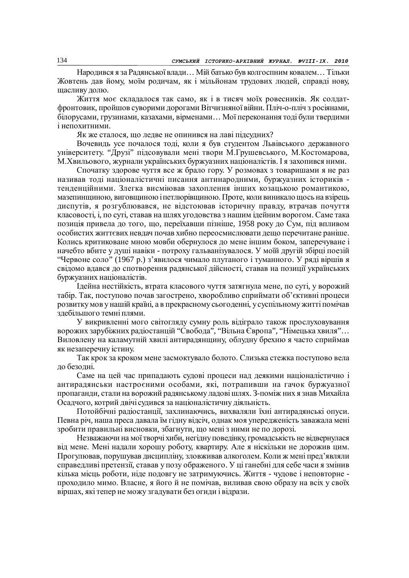Народився я за Радянської влади... Мій батько був колгоспним ковалем... Тільки Жовтень дав йому, моїм родичам, як і мільйонам трудових людей, справді нову, шасливу лолю.

Життя моє складалося так само, як і в тисяч моїх ровесників. Як солдатфронтовик, пройшов суворими дорогами Вітчизняної війни. Пліч-о-пліч з росіянами, білорусами, грузинами, казахами, вірменами... Мої переконання тоді були твердими і непохитними

Як же сталося, що ледве не опинився на лаві підсудних?

Вочевидь усе почалося тоді, коли я був студентом Львівського державного університету. "Друзі" підсовували мені твори М. Грушевського, М. Костомарова, М. Хвильового, журнали українських буржуазних націоналістів. І я захопився ними.

Спочатку здорове чуття все ж брало гору. У розмовах з товаришами я не раз називав тоді націоналістичні писання антинародними, буржуазних істориків тенденційними. Злегка висміював захоплення інших козацькою романтикою, мазепинщиною, виговщиною і петлюрівщиною. Проте, коли виникало щось на взірець диспутів, я розгублювався, не відстоював історичну правду, втрачав почуття класовості, і, по суті, ставав на шлях угодовства з нашим ідейним ворогом. Саме така позиція привела до того, що, переїхавши пізніше, 1958 року до Сум, під впливом особистих життєвих невдач почав хибно переосмислювати дещо перечитане раніше. Колись критиковане мною мовби обернулося до мене іншим боком, заперечуване і начебто вбите у душі навіки - потроху гальванізувалося. У моїй другій збірці поезій "Червоне соло" (1967 р.) з'явилося чимало плутаного і туманного. У рялі віршів я свідомо вдався до спотворення радянської дійсності, ставав на позиції українських буржуазних націоналістів.

Цдейна нестійкість, втрата класового чуття затягнула мене, по суті, у ворожий табір. Так, поступово почав загострено, хворобливо сприймати об'єктивні процеси розвитку мов у нашій країні, а в прекрасному сьогоденні, у суспільному житті помічав здебільшого темні плями.

У викривленні мого світогляду сумну роль відіграло також прослуховування ворожих зарубіжних радіостанцій "Свобода", "Вільна Європа", "Німецька хвиля"... Виловлену на каламутній хвилі антирадянщину, облудну брехню я часто сприймав як незаперечну істину.

Так крок за кроком мене засмоктувало болото. Слизька стежка поступово вела до безодні.

Саме на цей час припадають судові процеси над деякими націоналістично і антирадянськи настроєними особами, які, потрапивши на гачок буржуазної пропаганди, стали на ворожий радянському ладові шлях. З-поміж них я знав Михайла Осадчого, котрий двічі судився за націоналістичну діяльність.

Потойбічні радіостанції, захлинаючись, вихваляли їхні антирадянські опуси. Певна річ, наша преса давала їм гідну відсіч, однак моя упередженість заважала мені зробити правильні висновки, збагнути, що мені з ними не по дорозі.

Незважаючи на мої творчі хиби, негідну поведінку, громадськість не відвернулася від мене. Мені надали хорошу роботу, квартиру. Але я ніскільки не дорожив цим. Прогулював, порушував дисципліну, зловживав алкоголем. Коли ж мені пред'являли справедливі претензії, ставав у позу ображеного. У ці ганебні для себе часи я змінив кілька місць роботи, ніде подовгу не затримуючись. Життя - чудове і неповторне проходило мимо. Власне, я його й не помічав, виливав свою образу на всіх у своїх віршах, які тепер не можу згадувати без огиди і відрази.